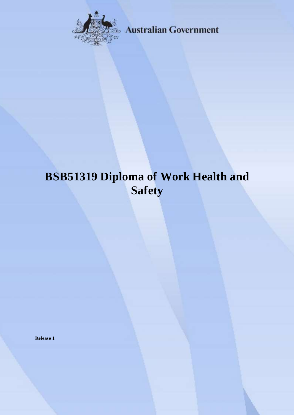

**Australian Government** 

# **BSB51319 Diploma of Work Health and Safety**

**Release 1**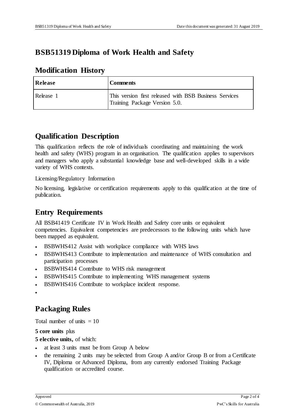## **BSB51319 Diploma of Work Health and Safety**

### **Modification History**

| Release   | <b>Comments</b>                                                                         |
|-----------|-----------------------------------------------------------------------------------------|
| Release 1 | This version first released with BSB Business Services<br>Training Package Version 5.0. |

### **Qualification Description**

This qualification reflects the role of individuals coordinating and maintaining the work health and safety (WHS) program in an organisation. The qualification applies to supervisors and managers who apply a substantial knowledge base and well-developed skills in a wide variety of WHS contexts.

Licensing/Regulatory Information

No licensing, legislative or certification requirements apply to this qualification at the time of publication.

# **Entry Requirements**

All BSB41419 Certificate IV in Work Health and Safety core units or equivalent competencies. Equivalent competencies are predecessors to the following units which have been mapped as equivalent.

- BSBWHS412 Assist with workplace compliance with WHS laws
- BSBWHS413 Contribute to implementation and maintenance of WHS consultation and participation processes
- BSBWHS414 Contribute to WHS risk management
- BSBWHS415 Contribute to implementing WHS management systems
- BSBWHS416 Contribute to workplace incident response.

```
\bullet
```
### **Packaging Rules**

Total number of units  $= 10$ 

**5 core units** plus

**5 elective units,** of which:

- at least 3 units must be from Group A below
- the remaining 2 units may be selected from Group A and/or Group B or from a Certificate IV, Diploma or Advanced Diploma, from any currently endorsed Training Package qualification or accredited course.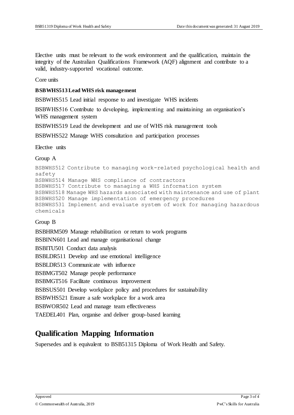Elective units must be relevant to the work environment and the qualification, maintain the integrity of the Australian Qualifications Framework (AQF) alignment and contribute to a valid, industry-supported vocational outcome.

Core units

#### **BSBWHS513 Lead WHS risk management**

BSBWHS515 Lead initial response to and investigate WHS incidents

BSBWHS516 Contribute to developing, implementing and maintaining an organisation's WHS management system

BSBWHS519 Lead the development and use of WHS risk management tools

BSBWHS522 Manage WHS consultation and participation processes

Elective units

#### Group A

```
BSBWHS512 Contribute to managing work-related psychological health and 
safety
BSBWHS514 Manage WHS compliance of contractors
BSBWHS517 Contribute to managing a WHS information system
BSBWHS518 Manage WHS hazards associated with maintenance and use of plant
BSBWHS520 Manage implementation of emergency procedures
BSBWHS531 Implement and evaluate system of work for managing hazardous 
chemicals
```
#### Group B

BSBHRM509 Manage rehabilitation or return to work programs BSBINN601 Lead and manage organisational change BSBITU501 Conduct data analysis BSBLDR511 Develop and use emotional intelligence BSBLDR513 Communicate with influence BSBMGT502 Manage people performance BSBMGT516 Facilitate continuous improvement BSBSUS501 Develop workplace policy and procedures for sustainability BSBWHS521 Ensure a safe workplace for a work area BSBWOR502 Lead and manage team effectiveness TAEDEL401 Plan, organise and deliver group-based learning

### **Qualification Mapping Information**

Supersedes and is equivalent to BSB51315 Diploma of Work Health and Safety.